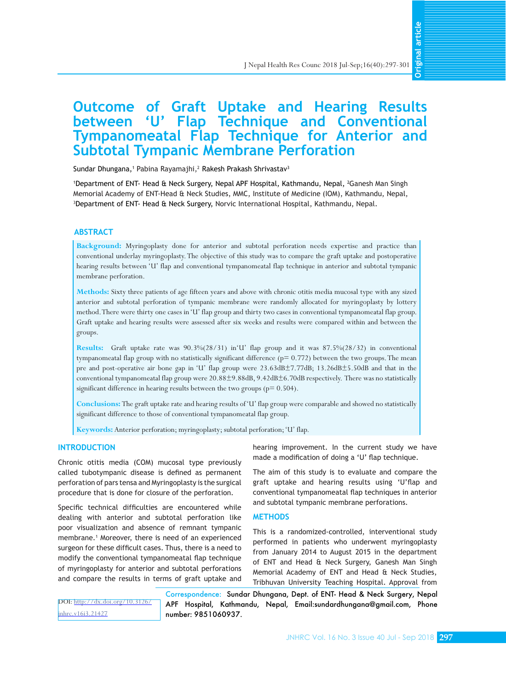# **Outcome of Graft Uptake and Hearing Results between 'U' Flap Technique and Conventional Tympanomeatal Flap Technique for Anterior and Subtotal Tympanic Membrane Perforation**

Sundar Dhungana,<sup>1</sup> Pabina Rayamajhi,<sup>2</sup> Rakesh Prakash Shrivastav<sup>3</sup>

1 Department of ENT- Head & Neck Surgery, Nepal APF Hospital, Kathmandu, Nepal, <sup>2</sup> Ganesh Man Singh Memorial Academy of ENT-Head & Neck Studies, MMC, Institute of Medicine (IOM), Kathmandu, Nepal, 3 Department of ENT- Head & Neck Surgery, Norvic International Hospital, Kathmandu, Nepal.

#### **ABSTRACT**

**Background:** Myringoplasty done for anterior and subtotal perforation needs expertise and practice than conventional underlay myringoplasty. The objective of this study was to compare the graft uptake and postoperative hearing results between 'U' flap and conventional tympanomeatal flap technique in anterior and subtotal tympanic membrane perforation.

**Methods:** Sixty three patients of age fifteen years and above with chronic otitis media mucosal type with any sized anterior and subtotal perforation of tympanic membrane were randomly allocated for myringoplasty by lottery method. There were thirty one cases in 'U' flap group and thirty two cases in conventional tympanomeatal flap group. Graft uptake and hearing results were assessed after six weeks and results were compared within and between the groups.

**Results:** Graft uptake rate was 90.3%(28/31) in'U' flap group and it was 87.5%(28/32) in conventional tympanomeatal flap group with no statistically significant difference  $(p= 0.772)$  between the two groups. The mean pre and post-operative air bone gap in 'U' flap group were 23.63dB±7.77dB; 13.26dB±5.50dB and that in the conventional tympanomeatal flap group were 20.88±9.88dB, 9.42dB±6.70dB respectively. There was no statistically significant difference in hearing results between the two groups ( $p= 0.504$ ).

**Conclusions:** The graft uptake rate and hearing results of 'U' flap group were comparable and showed no statistically significant difference to those of conventional tympanomeatal flap group.

**Keywords:** Anterior perforation; myringoplasty; subtotal perforation; 'U' flap.

# **INTRODUCTION**

Chronic otitis media (COM) mucosal type previously called tubotympanic disease is defined as permanent perforation of pars tensa and Myringoplasty is the surgical procedure that is done for closure of the perforation.

Specific technical difficulties are encountered while dealing with anterior and subtotal perforation like poor visualization and absence of remnant tympanic membrane.<sup>1</sup> Moreover, there is need of an experienced surgeon for these difficult cases. Thus, there is a need to modify the conventional tympanomeatal flap technique of myringoplasty for anterior and subtotal perforations and compare the results in terms of graft uptake and hearing improvement. In the current study we have made a modification of doing a 'U' flap technique.

The aim of this study is to evaluate and compare the graft uptake and hearing results using 'U'flap and conventional tympanomeatal flap techniques in anterior and subtotal tympanic membrane perforations.

### **METHODS**

This is a randomized-controlled, interventional study performed in patients who underwent myringoplasty from January 2014 to August 2015 in the department of ENT and Head & Neck Surgery, Ganesh Man Singh Memorial Academy of ENT and Head & Neck Studies, Figure 11 Health Res Counc 2018 Jul-Sep;16(40):297-301<br> **Example 12 Hospital Conventional Innique Conventional Innique for Anterior and Conventional Innique for Anterior and<br>
Burge Performation<br>
Institute of Medicine (IOM)** 

DOI: [http://dx.doi.org/10.3126/](http://dx.doi.org/10.3126/jnhrc.v16i3.21427) [jnhrc.v16i3.21427](http://dx.doi.org/10.3126/jnhrc.v16i3.21427)

Correspondence: Sundar Dhungana, Dept. of ENT- Head & Neck Surgery, Nepal APF Hospital, Kathmandu, Nepal, Email:sundardhungana@gmail.com, Phone number: 9851060937.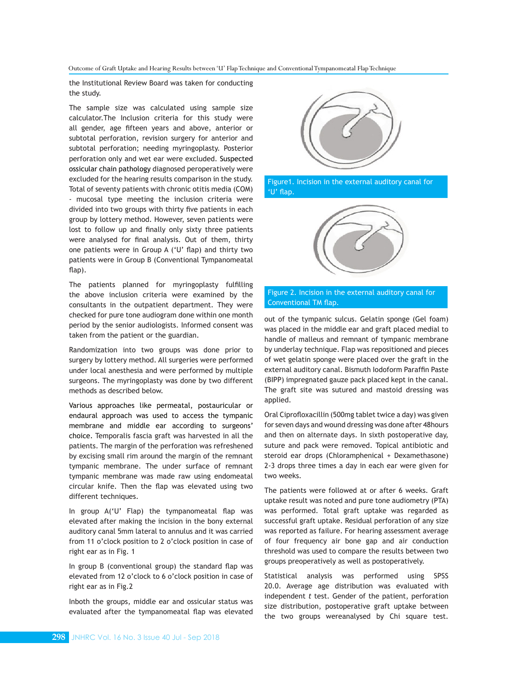Outcome of Graft Uptake and Hearing Results between 'U' Flap Technique and Conventional Tympanomeatal Flap Technique

the Institutional Review Board was taken for conducting the study.

The sample size was calculated using sample size calculator.The Inclusion criteria for this study were all gender, age fifteen years and above, anterior or subtotal perforation, revision surgery for anterior and subtotal perforation; needing myringoplasty. Posterior perforation only and wet ear were excluded. Suspected ossicular chain pathology diagnosed peroperatively were excluded for the hearing results comparison in the study. Total of seventy patients with chronic otitis media (COM) - mucosal type meeting the inclusion criteria were divided into two groups with thirty five patients in each group by lottery method. However, seven patients were lost to follow up and finally only sixty three patients were analysed for final analysis. Out of them, thirty one patients were in Group A ('U' flap) and thirty two patients were in Group B (Conventional Tympanomeatal flap).

The patients planned for myringoplasty fulfilling the above inclusion criteria were examined by the consultants in the outpatient department. They were checked for pure tone audiogram done within one month period by the senior audiologists. Informed consent was taken from the patient or the guardian.

Randomization into two groups was done prior to surgery by lottery method. All surgeries were performed under local anesthesia and were performed by multiple surgeons. The myringoplasty was done by two different methods as described below.

Various approaches like permeatal, postauricular or endaural approach was used to access the tympanic membrane and middle ear according to surgeons' choice. Temporalis fascia graft was harvested in all the patients. The margin of the perforation was refreshened by excising small rim around the margin of the remnant tympanic membrane. The under surface of remnant tympanic membrane was made raw using endomeatal circular knife. Then the flap was elevated using two different techniques.

In group A('U' Flap) the tympanomeatal flap was elevated after making the incision in the bony external auditory canal 5mm lateral to annulus and it was carried from 11 o'clock position to 2 o'clock position in case of right ear as in Fig. 1

In group B (conventional group) the standard flap was elevated from 12 o'clock to 6 o'clock position in case of right ear as in Fig.2

Inboth the groups, middle ear and ossicular status was evaluated after the tympanomeatal flap was elevated







## Figure 2. Incision in the external auditory canal for Conventional TM flap.

out of the tympanic sulcus. Gelatin sponge (Gel foam) was placed in the middle ear and graft placed medial to handle of malleus and remnant of tympanic membrane by underlay technique. Flap was repositioned and pieces of wet gelatin sponge were placed over the graft in the external auditory canal. Bismuth Iodoform Paraffin Paste (BIPP) impregnated gauze pack placed kept in the canal. The graft site was sutured and mastoid dressing was applied.

Oral Ciprofloxacillin (500mg tablet twice a day) was given for seven days and wound dressing was done after 48hours and then on alternate days. In sixth postoperative day, suture and pack were removed. Topical antibiotic and steroid ear drops (Chloramphenical + Dexamethasone) 2-3 drops three times a day in each ear were given for two weeks.

The patients were followed at or after 6 weeks. Graft uptake result was noted and pure tone audiometry (PTA) was performed. Total graft uptake was regarded as successful graft uptake. Residual perforation of any size was reported as failure. For hearing assessment average of four frequency air bone gap and air conduction threshold was used to compare the results between two groups preoperatively as well as postoperatively.

Statistical analysis was performed using SPSS 20.0. Average age distribution was evaluated with independent *t* test. Gender of the patient, perforation size distribution, postoperative graft uptake between the two groups wereanalysed by Chi square test.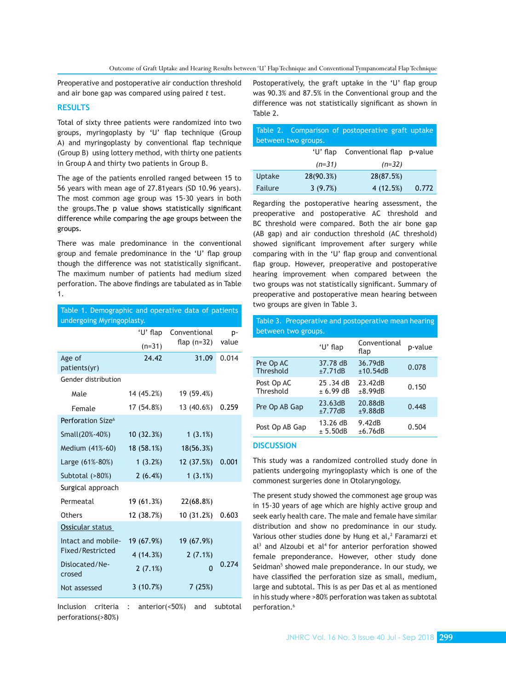Preoperative and postoperative air conduction threshold and air bone gap was compared using paired *t* test.

### **RESULTS**

Total of sixty three patients were randomized into two groups, myringoplasty by 'U' flap technique (Group A) and myringoplasty by conventional flap technique (Group B) using lottery method, with thirty one patients in Group A and thirty two patients in Group B.

The age of the patients enrolled ranged between 15 to 56 years with mean age of 27.81years (SD 10.96 years). The most common age group was 15-30 years in both the groups.The p value shows statistically significant difference while comparing the age groups between the groups.

There was male predominance in the conventional group and female predominance in the 'U' flap group though the difference was not statistically significant. The maximum number of patients had medium sized perforation. The above findings are tabulated as in Table 1.

| Table 1. Demographic and operative data of patients |            |                |       |  |  |
|-----------------------------------------------------|------------|----------------|-------|--|--|
| undergoing Myringoplasty.                           |            |                |       |  |  |
|                                                     | 'U' flap   | Conventional   | p-    |  |  |
|                                                     | $(n=31)$   | flap $(n=32)$  | value |  |  |
| Age of                                              | 24.42      | 31.09          | 0.014 |  |  |
| patients(yr)                                        |            |                |       |  |  |
| Gender distribution                                 |            |                |       |  |  |
| Male                                                | 14 (45.2%) | 19 (59.4%)     |       |  |  |
| Female                                              | 17 (54.8%) | 13 (40.6%)     | 0.259 |  |  |
| Perforation Size <sup>6</sup>                       |            |                |       |  |  |
| Small(20%-40%)                                      | 10 (32.3%) | 1(3.1%)        |       |  |  |
| Medium (41%-60)                                     | 18 (58.1%) | 18(56.3%)      |       |  |  |
| Large (61%-80%)                                     | 1(3.2%)    | 12 (37.5%)     | 0.001 |  |  |
| Subtotal (>80%)                                     | 2(6.4%)    | 1(3.1%)        |       |  |  |
| Surgical approach                                   |            |                |       |  |  |
| Permeatal                                           | 19 (61.3%) | 22(68.8%)      |       |  |  |
| <b>Others</b>                                       | 12 (38.7%) | 10 (31.2%)     | 0.603 |  |  |
| Ossicular status                                    |            |                |       |  |  |
| Intact and mobile-                                  | 19 (67.9%) | 19 (67.9%)     |       |  |  |
| Fixed/Restricted                                    | 4 (14.3%)  | 2(7.1%)        |       |  |  |
| Dislocated/Ne-<br>crosed                            | 2(7.1%)    | $\overline{0}$ | 0.274 |  |  |
| Not assessed                                        | 3(10.7%)   | 7(25%)         |       |  |  |
|                                                     |            |                |       |  |  |

Inclusion criteria : anterior(<50%) and subtotal perforations(>80%)

Postoperatively, the graft uptake in the 'U' flap group was 90.3% and 87.5% in the Conventional group and the difference was not statistically significant as shown in Table 2.

|         |                     | Table 2. Comparison of postoperative graft uptake |       |
|---------|---------------------|---------------------------------------------------|-------|
|         | between two groups. |                                                   |       |
|         | 'U' flap            | Conventional flap p-value                         |       |
|         | $(n=31)$            | $(n=32)$                                          |       |
| Uptake  | 28(90.3%)           | 28(87.5%)                                         |       |
| Failure | 3(9.7%)             | 4(12.5%)                                          | 0.772 |

Regarding the postoperative hearing assessment, the preoperative and postoperative AC threshold and BC threshold were compared. Both the air bone gap (AB gap) and air conduction threshold (AC threshold) showed significant improvement after surgery while comparing with in the 'U' flap group and conventional flap group. However, preoperative and postoperative hearing improvement when compared between the two groups was not statistically significant. Summary of preoperative and postoperative mean hearing between two groups are given in Table 3.

| Table 3. Preoperative and postoperative mean hearing<br>between two groups. |                       |                      |         |  |  |  |
|-----------------------------------------------------------------------------|-----------------------|----------------------|---------|--|--|--|
|                                                                             | 'U' flap              | Conventional<br>flap | p-value |  |  |  |
| Pre Op AC<br>Threshold                                                      | 37.78 dB<br>±7.71dB   | 36.79dB<br>±10.54dB  | 0.078   |  |  |  |
| Post Op AC<br>Threshold                                                     | 25.34dB<br>$+6.99$ dB | 23.42dB<br>±8.99dB   | 0.150   |  |  |  |
| Pre Op AB Gap                                                               | 23.63dB<br>±7.77dB    | 20.88dB<br>±9.88dB   | 0.448   |  |  |  |
| Post Op AB Gap                                                              | 13.26 dB<br>± 5.50dB  | 9.42dB<br>±6.76dB    | 0.504   |  |  |  |

# **DISCUSSION**

This study was a randomized controlled study done in patients undergoing myringoplasty which is one of the commonest surgeries done in Otolaryngology.

The present study showed the commonest age group was in 15-30 years of age which are highly active group and seek early health care. The male and female have similar distribution and show no predominance in our study. Various other studies done by Hung et al,<sup>2</sup> Faramarzi et  $al<sup>3</sup>$  and Alzoubi et al<sup>4</sup> for anterior perforation showed female preponderance. However, other study done Seidman<sup>5</sup> showed male preponderance. In our study, we have classified the perforation size as small, medium, large and subtotal. This is as per Das et al as mentioned in his study where >80% perforation was taken as subtotal perforation.<sup>6</sup>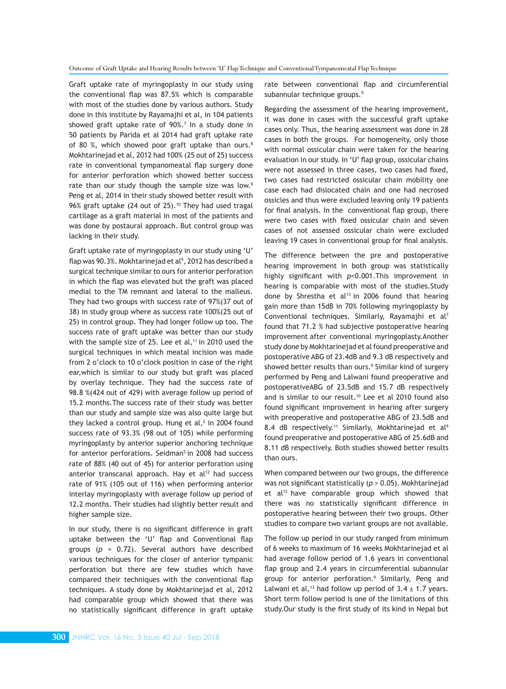Graft uptake rate of myringoplasty in our study using the conventional flap was 87.5% which is comparable with most of the studies done by various authors. Study done in this institute by Rayamajhi et al, in 104 patients showed graft uptake rate of 90%.<sup>7</sup> In a study done in 50 patients by Parida et al 2014 had graft uptake rate of 80 %, which showed poor graft uptake than ours.<sup>8</sup> Mokhtarinejad et al, 2012 had 100% (25 out of 25) success rate in conventional tympanomeatal flap surgery done for anterior perforation which showed better success rate than our study though the sample size was low.<sup>9</sup> Peng et al, 2014 in their study showed better result with 96% graft uptake (24 out of 25).<sup>10</sup> They had used tragal cartilage as a graft material in most of the patients and was done by postaural approach. But control group was lacking in their study.

Graft uptake rate of myringoplasty in our study using 'U' flap was 90.3%. Mokhtarinejad et al<sup>9</sup>, 2012 has described a surgical technique similar to ours for anterior perforation in which the flap was elevated but the graft was placed medial to the TM remnant and lateral to the malleus. They had two groups with success rate of 97%(37 out of 38) in study group where as success rate 100%(25 out of 25) in control group. They had longer follow up too. The success rate of graft uptake was better than our study with the sample size of 25. Lee et al, $11$  in 2010 used the surgical techniques in which meatal incision was made from 2 o'clock to 10 o'clock position in case of the right ear,which is similar to our study but graft was placed by overlay technique. They had the success rate of 98.8 %(424 out of 429) with average follow up period of 15.2 months.The success rate of their study was better than our study and sample size was also quite large but they lacked a control group. Hung et al, $^2$  in 2004 found success rate of 93.3% (98 out of 105) while performing myringoplasty by anterior superior anchoring technique for anterior perforations. Seidman<sup>5</sup> in 2008 had success rate of 88% (40 out of 45) for anterior perforation using anterior transcanal approach. Hay et al<sup>12</sup> had success rate of 91% (105 out of 116) when performing anterior interlay myringoplasty with average follow up period of 12.2 months. Their studies had slightly better result and higher sample size.

In our study, there is no significant difference in graft uptake between the 'U' flap and Conventional flap groups  $(p = 0.72)$ . Several authors have described various techniques for the closer of anterior tympanic perforation but there are few studies which have compared their techniques with the conventional flap techniques. A study done by Mokhtarinejad et al, 2012 had comparable group which showed that there was no statistically significant difference in graft uptake

rate between conventional flap and circumferential subannular technique groups.<sup>9</sup>

Regarding the assessment of the hearing improvement, it was done in cases with the successful graft uptake cases only. Thus, the hearing assessment was done in 28 cases in both the groups. For homogeneity, only those with normal ossicular chain were taken for the hearing evaluation in our study. In 'U' flap group, ossicular chains were not assessed in three cases, two cases had fixed, two cases had restricted ossicular chain mobility one case each had dislocated chain and one had necrosed ossicles and thus were excluded leaving only 19 patients for final analysis. In the conventional flap group, there were two cases with fixed ossicular chain and seven cases of not assessed ossicular chain were excluded leaving 19 cases in conventional group for final analysis.

The difference between the pre and postoperative hearing improvement in both group was statistically highly significant with *p*<0.001.This improvement in hearing is comparable with most of the studies.Study done by Shrestha et al $13$  in 2006 found that hearing gain more than 15dB in 70% following myringoplasty by Conventional techniques. Similarly, Rayamajhi et al<sup>7</sup> found that 71.2 % had subjective postoperative hearing improvement after conventional myringoplasty.Another study done by Mokhtarinejad et al found preoperative and postoperative ABG of 23.4dB and 9.3 dB respectively and showed better results than ours.9 Similar kind of surgery performed by Peng and Lalwani found preoperative and postoperativeABG of 23.5dB and 15.7 dB respectively and is similar to our result.<sup>10</sup> Lee et al 2010 found also found significant improvement in hearing after surgery with preoperative and postoperative ABG of 23.5dB and 8.4 dB respectively.<sup>11</sup> Similarly, Mokhtarinejad et al<sup>9</sup> found preoperative and postoperative ABG of 25.6dB and 8.11 dB respectively. Both studies showed better results than ours.

When compared between our two groups, the difference was not significant statistically (*p* > 0.05). Mokhtarinejad et al<sup>12</sup> have comparable group which showed that there was no statistically significant difference in postoperative hearing between their two groups. Other studies to compare two variant groups are not available.

The follow up period in our study ranged from minimum of 6 weeks to maximum of 16 weeks Mokhtarinejad et al had average follow period of 1.6 years in conventional flap group and 2.4 years in circumferential subannular group for anterior perforation.9 Similarly, Peng and Lalwani et al,<sup>13</sup> had follow up period of  $3.4 \pm 1.7$  years. Short term follow period is one of the limitations of this study.Our study is the first study of its kind in Nepal but